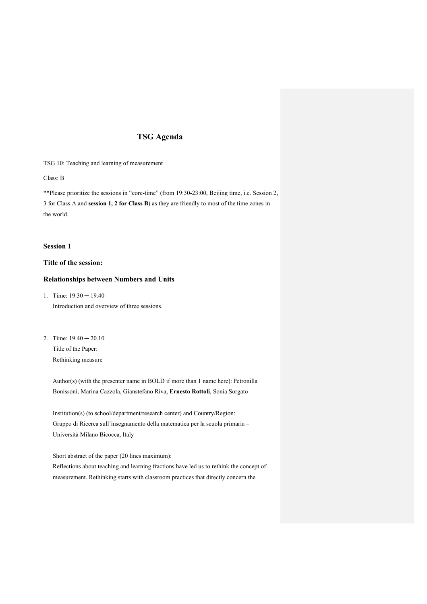# **TSG Agenda**

TSG 10: Teaching and learning of measurement

Class: B

\*\*Please prioritize the sessions in "core-time" (from 19:30-23:00, Beijing time, i.e. Session 2, 3 for Class A and **session 1, 2 for Class B**) as they are friendly to most of the time zones in the world.

## **Session 1**

# **Title of the session:**

## **Relationships between Numbers and Units**

1. Time:  $19.30 - 19.40$ 

Introduction and overview of three sessions.

2. Time:  $19.40 - 20.10$ Title of the Paper: Rethinking measure

> Author(s) (with the presenter name in BOLD if more than 1 name here): Petronilla Bonissoni, Marina Cazzola, Gianstefano Riva, **Ernesto Rottoli**, Sonia Sorgato

Institution(s) (to school/department/research center) and Country/Region: Gruppo di Ricerca sull'insegnamento della matematica per la scuola primaria – Università Milano Bicocca, Italy

Short abstract of the paper (20 lines maximum): Reflections about teaching and learning fractions have led us to rethink the concept of measurement. Rethinking starts with classroom practices that directly concern the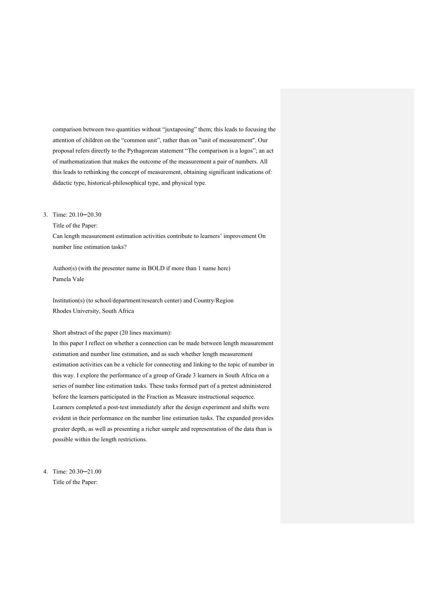comparison between two quantities without "juxtaposing" them; this leads to focusing the attention of children on the "common unit", rather than on "unit of measurement". Our proposal refers directly to the Pythagorean statement "The comparison is a logos"; an act of mathematization that makes the outcome of the measurement a pair of numbers. All this leads to rethinking the concept of measurement, obtaining significant indications of: didactic type, historical-philosophical type, and physical type.

## 3. Time: 20.10─20.30

Title of the Paper:

Can length measurement estimation activities contribute to learners' improvement On number line estimation tasks?

Author(s) (with the presenter name in BOLD if more than 1 name here) Pamela Vale

Institution(s) (to school/department/research center) and Country/Region Rhodes University, South Africa

#### Short abstract of the paper (20 lines maximum):

In this paper I reflect on whether a connection can be made between length measurement estimation and number line estimation, and as such whether length measurement estimation activities can be a vehicle for connecting and linking to the topic of number in this way. I explore the performance of a group of Grade 3 learners in South Africa on a series of number line estimation tasks. These tasks formed part of a pretest administered before the learners participated in the Fraction as Measure instructional sequence. Learners completed a post-test immediately after the design experiment and shifts were evident in their performance on the number line estimation tasks. The expanded provides greater depth, as well as presenting a richer sample and representation of the data than is possible within the length restrictions.

4. Time: 20.30─21.00 Title of the Paper: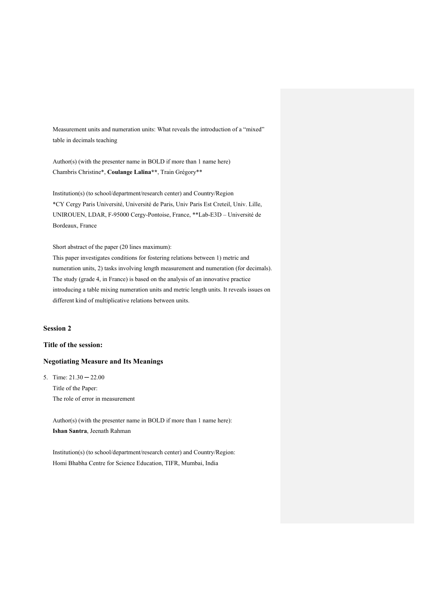Measurement units and numeration units: What reveals the introduction of a "mixed" table in decimals teaching

Author(s) (with the presenter name in BOLD if more than 1 name here) Chambris Christine\*, **Coulange Lalina\*\***, Train Grégory\*\*

Institution(s) (to school/department/research center) and Country/Region \*CY Cergy Paris Université, Université de Paris, Univ Paris Est Creteil, Univ. Lille, UNIROUEN, LDAR, F-95000 Cergy-Pontoise, France, \*\*Lab-E3D – Université de Bordeaux, France

Short abstract of the paper (20 lines maximum):

This paper investigates conditions for fostering relations between 1) metric and numeration units, 2) tasks involving length measurement and numeration (for decimals). The study (grade 4, in France) is based on the analysis of an innovative practice introducing a table mixing numeration units and metric length units. It reveals issues on different kind of multiplicative relations between units.

# **Session 2**

# **Title of the session:**

## **Negotiating Measure and Its Meanings**

5. Time:  $21.30 - 22.00$ Title of the Paper: The role of error in measurement

> Author(s) (with the presenter name in BOLD if more than 1 name here): **Ishan Santra**, Jeenath Rahman

Institution(s) (to school/department/research center) and Country/Region: Homi Bhabha Centre for Science Education, TIFR, Mumbai, India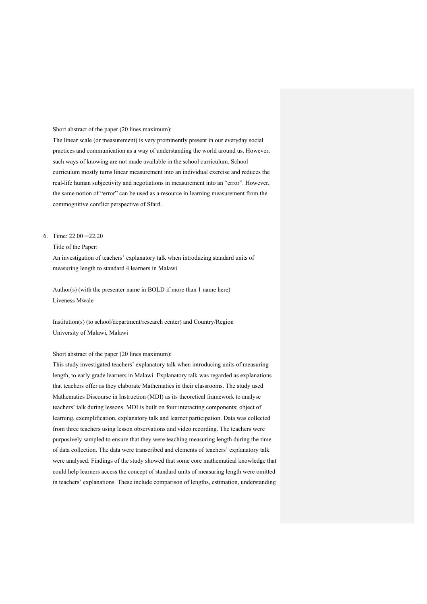#### Short abstract of the paper (20 lines maximum):

The linear scale (or measurement) is very prominently present in our everyday social practices and communication as a way of understanding the world around us. However, such ways of knowing are not made available in the school curriculum. School curriculum mostly turns linear measurement into an individual exercise and reduces the real-life human subjectivity and negotiations in measurement into an "error". However, the same notion of "error" can be used as a resource in learning measurement from the commognitive conflict perspective of Sfard.

## 6. Time: 22.00 ─22.20

## Title of the Paper:

An investigation of teachers' explanatory talk when introducing standard units of measuring length to standard 4 learners in Malawi

Author(s) (with the presenter name in BOLD if more than 1 name here) Liveness Mwale

Institution(s) (to school/department/research center) and Country/Region University of Malawi, Malawi

#### Short abstract of the paper (20 lines maximum):

This study investigated teachers' explanatory talk when introducing units of measuring length, to early grade learners in Malawi. Explanatory talk was regarded as explanations that teachers offer as they elaborate Mathematics in their classrooms. The study used Mathematics Discourse in Instruction (MDI) as its theoretical framework to analyse teachers' talk during lessons. MDI is built on four interacting components; object of learning, exemplification, explanatory talk and learner participation. Data was collected from three teachers using lesson observations and video recording. The teachers were purposively sampled to ensure that they were teaching measuring length during the time of data collection. The data were transcribed and elements of teachers' explanatory talk were analysed. Findings of the study showed that some core mathematical knowledge that could help learners access the concept of standard units of measuring length were omitted in teachers' explanations. These include comparison of lengths, estimation, understanding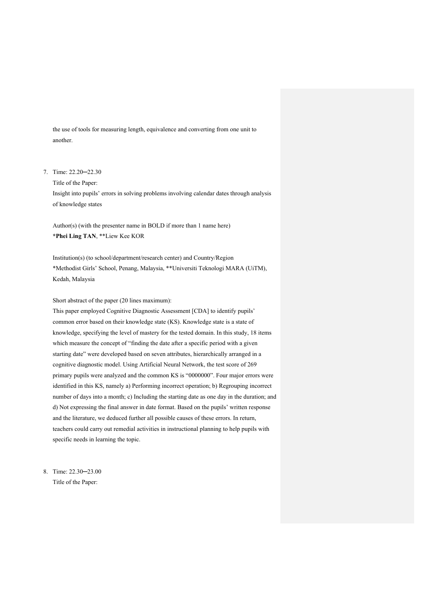the use of tools for measuring length, equivalence and converting from one unit to another.

## 7. Time: 22.20─22.30

Title of the Paper:

Insight into pupils' errors in solving problems involving calendar dates through analysis of knowledge states

Author(s) (with the presenter name in BOLD if more than 1 name here) **\*Phei Ling TAN**, \*\*Liew Kee KOR

Institution(s) (to school/department/research center) and Country/Region \*Methodist Girls' School, Penang, Malaysia, \*\*Universiti Teknologi MARA (UiTM), Kedah, Malaysia

Short abstract of the paper (20 lines maximum):

This paper employed Cognitive Diagnostic Assessment [CDA] to identify pupils' common error based on their knowledge state (KS). Knowledge state is a state of knowledge, specifying the level of mastery for the tested domain. In this study, 18 items which measure the concept of "finding the date after a specific period with a given starting date" were developed based on seven attributes, hierarchically arranged in a cognitive diagnostic model. Using Artificial Neural Network, the test score of 269 primary pupils were analyzed and the common KS is "0000000". Four major errors were identified in this KS, namely a) Performing incorrect operation; b) Regrouping incorrect number of days into a month; c) Including the starting date as one day in the duration; and d) Not expressing the final answer in date format. Based on the pupils' written response and the literature, we deduced further all possible causes of these errors. In return, teachers could carry out remedial activities in instructional planning to help pupils with specific needs in learning the topic.

8. Time: 22.30─23.00 Title of the Paper: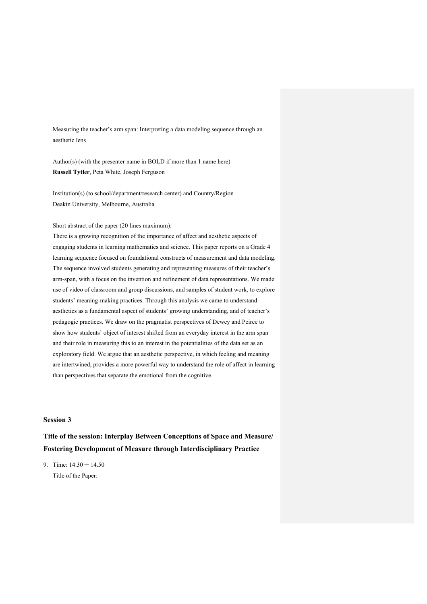Measuring the teacher's arm span: Interpreting a data modeling sequence through an aesthetic lens

Author(s) (with the presenter name in BOLD if more than 1 name here) **Russell Tytler**, Peta White, Joseph Ferguson

Institution(s) (to school/department/research center) and Country/Region Deakin University, Melbourne, Australia

## Short abstract of the paper (20 lines maximum):

There is a growing recognition of the importance of affect and aesthetic aspects of engaging students in learning mathematics and science. This paper reports on a Grade 4 learning sequence focused on foundational constructs of measurement and data modeling. The sequence involved students generating and representing measures of their teacher's arm-span, with a focus on the invention and refinement of data representations. We made use of video of classroom and group discussions, and samples of student work, to explore students' meaning-making practices. Through this analysis we came to understand aesthetics as a fundamental aspect of students' growing understanding, and of teacher's pedagogic practices. We draw on the pragmatist perspectives of Dewey and Peirce to show how students' object of interest shifted from an everyday interest in the arm span and their role in measuring this to an interest in the potentialities of the data set as an exploratory field. We argue that an aesthetic perspective, in which feeling and meaning are intertwined, provides a more powerful way to understand the role of affect in learning than perspectives that separate the emotional from the cognitive.

# **Session 3**

# **Title of the session: Interplay Between Conceptions of Space and Measure/ Fostering Development of Measure through Interdisciplinary Practice**

9. Time:  $14.30 - 14.50$ Title of the Paper: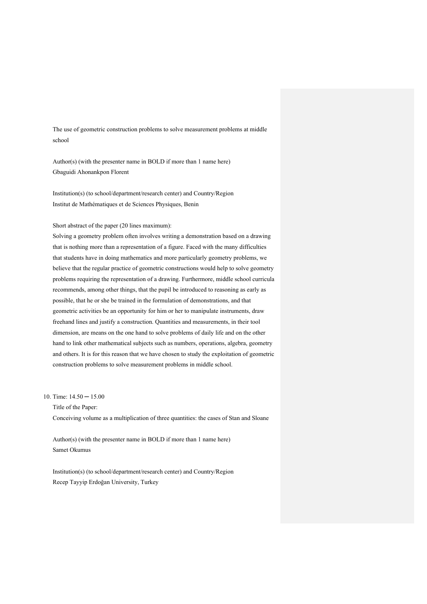The use of geometric construction problems to solve measurement problems at middle school

Author(s) (with the presenter name in BOLD if more than 1 name here) Gbaguidi Ahonankpon Florent

Institution(s) (to school/department/research center) and Country/Region Institut de Mathématiques et de Sciences Physiques, Benin

## Short abstract of the paper (20 lines maximum):

Solving a geometry problem often involves writing a demonstration based on a drawing that is nothing more than a representation of a figure. Faced with the many difficulties that students have in doing mathematics and more particularly geometry problems, we believe that the regular practice of geometric constructions would help to solve geometry problems requiring the representation of a drawing. Furthermore, middle school curricula recommends, among other things, that the pupil be introduced to reasoning as early as possible, that he or she be trained in the formulation of demonstrations, and that geometric activities be an opportunity for him or her to manipulate instruments, draw freehand lines and justify a construction. Quantities and measurements, in their tool dimension, are means on the one hand to solve problems of daily life and on the other hand to link other mathematical subjects such as numbers, operations, algebra, geometry and others. It is for this reason that we have chosen to study the exploitation of geometric construction problems to solve measurement problems in middle school.

10. Time: 14.50 ─ 15.00

Title of the Paper:

Conceiving volume as a multiplication of three quantities: the cases of Stan and Sloane

Author(s) (with the presenter name in BOLD if more than 1 name here) Samet Okumus

Institution(s) (to school/department/research center) and Country/Region Recep Tayyip Erdoğan University, Turkey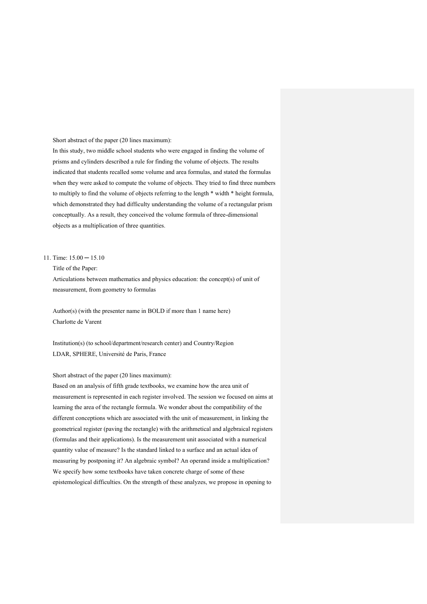Short abstract of the paper (20 lines maximum):

In this study, two middle school students who were engaged in finding the volume of prisms and cylinders described a rule for finding the volume of objects. The results indicated that students recalled some volume and area formulas, and stated the formulas when they were asked to compute the volume of objects. They tried to find three numbers to multiply to find the volume of objects referring to the length \* width \* height formula, which demonstrated they had difficulty understanding the volume of a rectangular prism conceptually. As a result, they conceived the volume formula of three-dimensional objects as a multiplication of three quantities.

## 11. Time: 15.00 ─ 15.10

Title of the Paper:

Articulations between mathematics and physics education: the concept(s) of unit of measurement, from geometry to formulas

Author(s) (with the presenter name in BOLD if more than 1 name here) Charlotte de Varent

Institution(s) (to school/department/research center) and Country/Region LDAR, SPHERE, Université de Paris, France

## Short abstract of the paper (20 lines maximum):

Based on an analysis of fifth grade textbooks, we examine how the area unit of measurement is represented in each register involved. The session we focused on aims at learning the area of the rectangle formula. We wonder about the compatibility of the different conceptions which are associated with the unit of measurement, in linking the geometrical register (paving the rectangle) with the arithmetical and algebraical registers (formulas and their applications). Is the measurement unit associated with a numerical quantity value of measure? Is the standard linked to a surface and an actual idea of measuring by postponing it? An algebraic symbol? An operand inside a multiplication? We specify how some textbooks have taken concrete charge of some of these epistemological difficulties. On the strength of these analyzes, we propose in opening to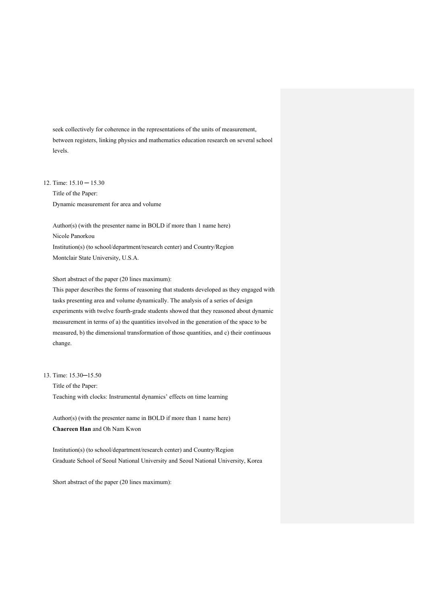seek collectively for coherence in the representations of the units of measurement, between registers, linking physics and mathematics education research on several school levels.

12. Time: 15.10 ─ 15.30

Title of the Paper: Dynamic measurement for area and volume

Author(s) (with the presenter name in BOLD if more than 1 name here)

Nicole Panorkou

Institution(s) (to school/department/research center) and Country/Region Montclair State University, U.S.A.

Short abstract of the paper (20 lines maximum):

This paper describes the forms of reasoning that students developed as they engaged with tasks presenting area and volume dynamically. The analysis of a series of design experiments with twelve fourth-grade students showed that they reasoned about dynamic measurement in terms of a) the quantities involved in the generation of the space to be measured, b) the dimensional transformation of those quantities, and c) their continuous change.

13. Time: 15.30─15.50

Title of the Paper: Teaching with clocks: Instrumental dynamics' effects on time learning

Author(s) (with the presenter name in BOLD if more than 1 name here) **Chaereen Han** and Oh Nam Kwon

Institution(s) (to school/department/research center) and Country/Region Graduate School of Seoul National University and Seoul National University, Korea

Short abstract of the paper (20 lines maximum):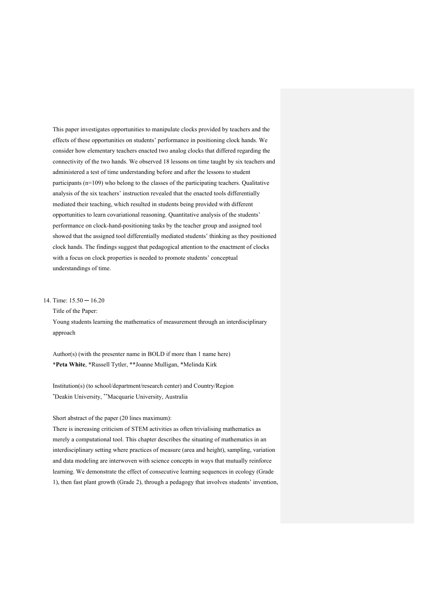This paper investigates opportunities to manipulate clocks provided by teachers and the effects of these opportunities on students' performance in positioning clock hands. We consider how elementary teachers enacted two analog clocks that differed regarding the connectivity of the two hands. We observed 18 lessons on time taught by six teachers and administered a test of time understanding before and after the lessons to student participants (n=109) who belong to the classes of the participating teachers. Qualitative analysis of the six teachers' instruction revealed that the enacted tools differentially mediated their teaching, which resulted in students being provided with different opportunities to learn covariational reasoning. Quantitative analysis of the students' performance on clock-hand-positioning tasks by the teacher group and assigned tool showed that the assigned tool differentially mediated students' thinking as they positioned clock hands. The findings suggest that pedagogical attention to the enactment of clocks with a focus on clock properties is needed to promote students' conceptual understandings of time.

#### 14. Time: 15.50 ─ 16.20

Title of the Paper:

Young students learning the mathematics of measurement through an interdisciplinary approach

Author(s) (with the presenter name in BOLD if more than 1 name here) **\*Peta White**, \*Russell Tytler, \*\*Joanne Mulligan, \*Melinda Kirk

Institution(s) (to school/department/research center) and Country/Region \* Deakin University, \*\*Macquarie University, Australia

## Short abstract of the paper (20 lines maximum):

There is increasing criticism of STEM activities as often trivialising mathematics as merely a computational tool. This chapter describes the situating of mathematics in an interdisciplinary setting where practices of measure (area and height), sampling, variation and data modeling are interwoven with science concepts in ways that mutually reinforce learning. We demonstrate the effect of consecutive learning sequences in ecology (Grade 1), then fast plant growth (Grade 2), through a pedagogy that involves students' invention,